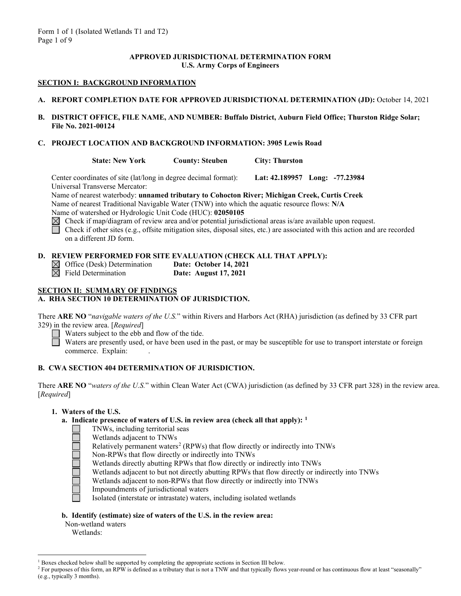#### **APPROVED JURISDICTIONAL DETERMINATION FORM U.S. Army Corps of Engineers**

# **SECTION I: BACKGROUND INFORMATION**

- **A. REPORT COMPLETION DATE FOR APPROVED JURISDICTIONAL DETERMINATION (JD):** October 14, 2021
- **B. DISTRICT OFFICE, FILE NAME, AND NUMBER: Buffalo District, Auburn Field Office; Thurston Ridge Solar; File No. 2021-00124**
- **C. PROJECT LOCATION AND BACKGROUND INFORMATION: 3905 Lewis Road**

**State: New York County: Steuben City: Thurston**

Center coordinates of site (lat/long in degree decimal format): **Lat: 42.189957 Long: -77.23984** Universal Transverse Mercator:

Name of nearest waterbody: **unnamed tributary to Cohocton River; Michigan Creek, Curtis Creek** Name of nearest Traditional Navigable Water (TNW) into which the aquatic resource flows: **N/A** Name of watershed or Hydrologic Unit Code (HUC): **02050105**

 $\boxtimes$  Check if map/diagram of review area and/or potential jurisdictional areas is/are available upon request.

Check if other sites (e.g., offsite mitigation sites, disposal sites, etc.) are associated with this action and are recorded on a different JD form.

|                                         | D. REVIEW PERFORMED FOR SITE EVALUATION (CHECK ALL THAT APPLY): |
|-----------------------------------------|-----------------------------------------------------------------|
| $\boxtimes$ Office (Desk) Determination | <b>Date: October 14, 2021</b>                                   |
| $\boxtimes$ Field Determination         | Date: August 17, 2021                                           |

#### **SECTION II: SUMMARY OF FINDINGS A. RHA SECTION 10 DETERMINATION OF JURISDICTION.**

There **ARE NO** "*navigable waters of the U.S.*" within Rivers and Harbors Act (RHA) jurisdiction (as defined by 33 CFR part 329) in the review area. [*Required*]

Waters subject to the ebb and flow of the tide.

Waters are presently used, or have been used in the past, or may be susceptible for use to transport interstate or foreign commerce. Explain:

# **B. CWA SECTION 404 DETERMINATION OF JURISDICTION.**

There **ARE NO** "*waters of the U.S.*" within Clean Water Act (CWA) jurisdiction (as defined by 33 CFR part 328) in the review area. [*Required*]

# **1. Waters of the U.S.**

# **a. Indicate presence of waters of U.S. in review area (check all that apply): [1](#page-0-0)**

- TNWs, including territorial seas
	- Wetlands adjacent to TNWs
	- Relatively permanent waters<sup>[2](#page-0-1)</sup> (RPWs) that flow directly or indirectly into TNWs
	- Non-RPWs that flow directly or indirectly into TNWs
	- Wetlands directly abutting RPWs that flow directly or indirectly into TNWs
	- Wetlands adjacent to but not directly abutting RPWs that flow directly or indirectly into TNWs
	- Wetlands adjacent to non-RPWs that flow directly or indirectly into TNWs
	- Impoundments of jurisdictional waters
	- Isolated (interstate or intrastate) waters, including isolated wetlands

# **b. Identify (estimate) size of waters of the U.S. in the review area:**

- Non-wetland waters
	- Wetlands:

 $1$  Boxes checked below shall be supported by completing the appropriate sections in Section III below.

<span id="page-0-1"></span><span id="page-0-0"></span><sup>&</sup>lt;sup>2</sup> For purposes of this form, an RPW is defined as a tributary that is not a TNW and that typically flows year-round or has continuous flow at least "seasonally" (e.g., typically 3 months).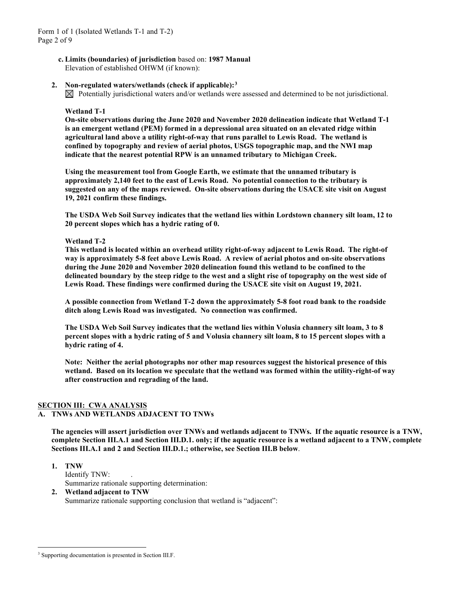- **c. Limits (boundaries) of jurisdiction** based on: **1987 Manual** Elevation of established OHWM (if known):
- **2. Non-regulated waters/wetlands (check if applicable):[3](#page-1-0)**

 $\boxtimes$  Potentially jurisdictional waters and/or wetlands were assessed and determined to be not jurisdictional.

#### **Wetland T-1**

**On-site observations during the June 2020 and November 2020 delineation indicate that Wetland T-1 is an emergent wetland (PEM) formed in a depressional area situated on an elevated ridge within agricultural land above a utility right-of-way that runs parallel to Lewis Road. The wetland is confined by topography and review of aerial photos, USGS topographic map, and the NWI map indicate that the nearest potential RPW is an unnamed tributary to Michigan Creek.** 

**Using the measurement tool from Google Earth, we estimate that the unnamed tributary is approximately 2,140 feet to the east of Lewis Road. No potential connection to the tributary is suggested on any of the maps reviewed. On-site observations during the USACE site visit on August 19, 2021 confirm these findings.**

**The USDA Web Soil Survey indicates that the wetland lies within Lordstown channery silt loam, 12 to 20 percent slopes which has a hydric rating of 0.** 

#### **Wetland T-2**

**This wetland is located within an overhead utility right-of-way adjacent to Lewis Road. The right-of way is approximately 5-8 feet above Lewis Road. A review of aerial photos and on-site observations during the June 2020 and November 2020 delineation found this wetland to be confined to the delineated boundary by the steep ridge to the west and a slight rise of topography on the west side of Lewis Road. These findings were confirmed during the USACE site visit on August 19, 2021.**

**A possible connection from Wetland T-2 down the approximately 5-8 foot road bank to the roadside ditch along Lewis Road was investigated. No connection was confirmed.** 

**The USDA Web Soil Survey indicates that the wetland lies within Volusia channery silt loam, 3 to 8 percent slopes with a hydric rating of 5 and Volusia channery silt loam, 8 to 15 percent slopes with a hydric rating of 4.**

**Note: Neither the aerial photographs nor other map resources suggest the historical presence of this wetland. Based on its location we speculate that the wetland was formed within the utility-right-of way after construction and regrading of the land.**

# **SECTION III: CWA ANALYSIS**

# **A. TNWs AND WETLANDS ADJACENT TO TNWs**

**The agencies will assert jurisdiction over TNWs and wetlands adjacent to TNWs. If the aquatic resource is a TNW, complete Section III.A.1 and Section III.D.1. only; if the aquatic resource is a wetland adjacent to a TNW, complete Sections III.A.1 and 2 and Section III.D.1.; otherwise, see Section III.B below**.

- **1. TNW**  Identify TNW: . Summarize rationale supporting determination:
- **2. Wetland adjacent to TNW** Summarize rationale supporting conclusion that wetland is "adjacent":

<span id="page-1-0"></span><sup>&</sup>lt;sup>3</sup> Supporting documentation is presented in Section III.F.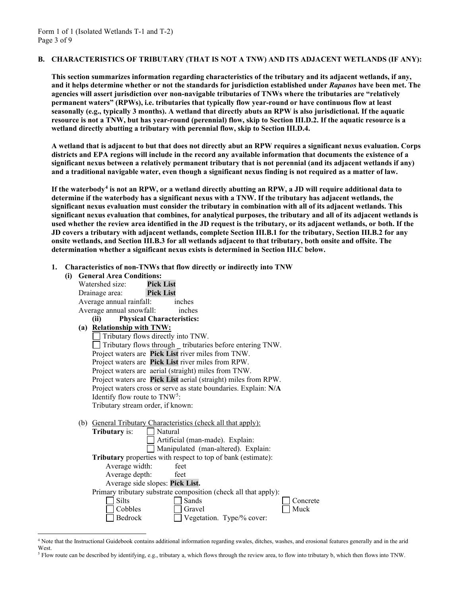#### **B. CHARACTERISTICS OF TRIBUTARY (THAT IS NOT A TNW) AND ITS ADJACENT WETLANDS (IF ANY):**

**This section summarizes information regarding characteristics of the tributary and its adjacent wetlands, if any, and it helps determine whether or not the standards for jurisdiction established under** *Rapanos* **have been met. The agencies will assert jurisdiction over non-navigable tributaries of TNWs where the tributaries are "relatively permanent waters" (RPWs), i.e. tributaries that typically flow year-round or have continuous flow at least seasonally (e.g., typically 3 months). A wetland that directly abuts an RPW is also jurisdictional. If the aquatic resource is not a TNW, but has year-round (perennial) flow, skip to Section III.D.2. If the aquatic resource is a wetland directly abutting a tributary with perennial flow, skip to Section III.D.4.** 

**A wetland that is adjacent to but that does not directly abut an RPW requires a significant nexus evaluation. Corps districts and EPA regions will include in the record any available information that documents the existence of a significant nexus between a relatively permanent tributary that is not perennial (and its adjacent wetlands if any) and a traditional navigable water, even though a significant nexus finding is not required as a matter of law.**

**If the waterbody[4](#page-2-0) is not an RPW, or a wetland directly abutting an RPW, a JD will require additional data to determine if the waterbody has a significant nexus with a TNW. If the tributary has adjacent wetlands, the significant nexus evaluation must consider the tributary in combination with all of its adjacent wetlands. This significant nexus evaluation that combines, for analytical purposes, the tributary and all of its adjacent wetlands is used whether the review area identified in the JD request is the tributary, or its adjacent wetlands, or both. If the JD covers a tributary with adjacent wetlands, complete Section III.B.1 for the tributary, Section III.B.2 for any onsite wetlands, and Section III.B.3 for all wetlands adjacent to that tributary, both onsite and offsite. The determination whether a significant nexus exists is determined in Section III.C below.**

**1. Characteristics of non-TNWs that flow directly or indirectly into TNW**

| (i) |                                                    | <b>General Area Conditions:</b>           |                                                                      |  |  |
|-----|----------------------------------------------------|-------------------------------------------|----------------------------------------------------------------------|--|--|
|     |                                                    | Watershed size:                           | <b>Pick List</b>                                                     |  |  |
|     |                                                    | Drainage area:                            | <b>Pick List</b>                                                     |  |  |
|     |                                                    | Average annual rainfall:                  | inches                                                               |  |  |
|     |                                                    | Average annual snowfall:                  | inches                                                               |  |  |
|     |                                                    | (ii)                                      | <b>Physical Characteristics:</b>                                     |  |  |
|     | (a) Relationship with TNW:                         |                                           |                                                                      |  |  |
|     | Tributary flows directly into TNW.                 |                                           |                                                                      |  |  |
|     |                                                    |                                           | $\Box$ Tributary flows through $\_$ tributaries before entering TNW. |  |  |
|     | Project waters are Pick List river miles from TNW. |                                           |                                                                      |  |  |
|     |                                                    |                                           | Project waters are Pick List river miles from RPW.                   |  |  |
|     |                                                    |                                           | Project waters are aerial (straight) miles from TNW.                 |  |  |
|     |                                                    |                                           | Project waters are Pick List aerial (straight) miles from RPW.       |  |  |
|     |                                                    |                                           | Project waters cross or serve as state boundaries. Explain: N/A      |  |  |
|     |                                                    | Identify flow route to TNW <sup>5</sup> : |                                                                      |  |  |
|     |                                                    | Tributary stream order, if known:         |                                                                      |  |  |
|     |                                                    |                                           |                                                                      |  |  |
|     |                                                    |                                           | (b) General Tributary Characteristics (check all that apply):        |  |  |
|     |                                                    | <b>Tributary</b> is:                      | Natural                                                              |  |  |
|     |                                                    |                                           | Artificial (man-made). Explain:                                      |  |  |
|     |                                                    |                                           | Manipulated (man-altered). Explain:                                  |  |  |
|     |                                                    |                                           | Tributary properties with respect to top of bank (estimate):         |  |  |
|     |                                                    | Average width:                            | feet                                                                 |  |  |
|     | Average depth:<br>feet                             |                                           |                                                                      |  |  |
|     | Average side slopes: Pick List.                    |                                           |                                                                      |  |  |
|     |                                                    |                                           | Primary tributary substrate composition (check all that apply):      |  |  |
|     |                                                    | Silts                                     | Sands<br>Concrete                                                    |  |  |
|     |                                                    | Cobbles                                   | Muck<br>Gravel                                                       |  |  |
|     |                                                    | Bedrock                                   | Vegetation. Type/% cover:                                            |  |  |
|     |                                                    |                                           |                                                                      |  |  |

<span id="page-2-0"></span><sup>4</sup> Note that the Instructional Guidebook contains additional information regarding swales, ditches, washes, and erosional features generally and in the arid West.

<span id="page-2-1"></span><sup>5</sup> Flow route can be described by identifying, e.g., tributary a, which flows through the review area, to flow into tributary b, which then flows into TNW.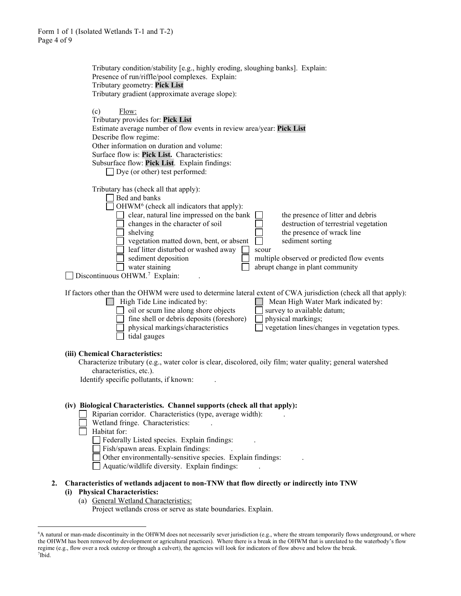|    | Tributary condition/stability [e.g., highly eroding, sloughing banks]. Explain:<br>Presence of run/riffle/pool complexes. Explain:<br>Tributary geometry: Pick List<br>Tributary gradient (approximate average slope):                                                                                                                                                                                                                                                                                                                                                                                          |
|----|-----------------------------------------------------------------------------------------------------------------------------------------------------------------------------------------------------------------------------------------------------------------------------------------------------------------------------------------------------------------------------------------------------------------------------------------------------------------------------------------------------------------------------------------------------------------------------------------------------------------|
|    | (c)<br>Flow:<br>Tributary provides for: Pick List<br>Estimate average number of flow events in review area/year: Pick List<br>Describe flow regime:<br>Other information on duration and volume:<br>Surface flow is: Pick List. Characteristics:<br>Subsurface flow: Pick List. Explain findings:<br>$\Box$ Dye (or other) test performed:                                                                                                                                                                                                                                                                      |
|    | Tributary has (check all that apply):<br>Bed and banks<br>OHWM <sup>6</sup> (check all indicators that apply):<br>clear, natural line impressed on the bank<br>the presence of litter and debris<br>changes in the character of soil<br>destruction of terrestrial vegetation<br>the presence of wrack line<br>shelving<br>vegetation matted down, bent, or absent<br>sediment sorting<br>leaf litter disturbed or washed away<br>scour<br>multiple observed or predicted flow events<br>sediment deposition<br>abrupt change in plant community<br>water staining<br>Discontinuous OHWM. <sup>7</sup> Explain: |
|    | If factors other than the OHWM were used to determine lateral extent of CWA jurisdiction (check all that apply):<br>High Tide Line indicated by:<br>Mean High Water Mark indicated by:<br>oil or scum line along shore objects<br>survey to available datum;<br>fine shell or debris deposits (foreshore)<br>physical markings;<br>physical markings/characteristics<br>vegetation lines/changes in vegetation types.<br>tidal gauges                                                                                                                                                                           |
|    | (iii) Chemical Characteristics:<br>Characterize tributary (e.g., water color is clear, discolored, oily film; water quality; general watershed<br>characteristics, etc.).<br>Identify specific pollutants, if known:                                                                                                                                                                                                                                                                                                                                                                                            |
|    | (iv) Biological Characteristics. Channel supports (check all that apply):<br>Riparian corridor. Characteristics (type, average width):<br>Wetland fringe. Characteristics:<br>Habitat for:<br>Federally Listed species. Explain findings:<br>Fish/spawn areas. Explain findings:<br>Other environmentally-sensitive species. Explain findings:<br>Aquatic/wildlife diversity. Explain findings:                                                                                                                                                                                                                 |
| 2. | Characteristics of wetlands adjacent to non-TNW that flow directly or indirectly into TNW<br>(i) Physical Characteristics:<br>(a) General Wetland Characteristics:                                                                                                                                                                                                                                                                                                                                                                                                                                              |

Project wetlands cross or serve as state boundaries. Explain.

<span id="page-3-1"></span><span id="page-3-0"></span><sup>6</sup> A natural or man-made discontinuity in the OHWM does not necessarily sever jurisdiction (e.g., where the stream temporarily flows underground, or where the OHWM has been removed by development or agricultural practices). Where there is a break in the OHWM that is unrelated to the waterbody's flow regime (e.g., flow over a rock outcrop or through a culvert), the agencies will look for indicators of flow above and below the break. 7 Ibid.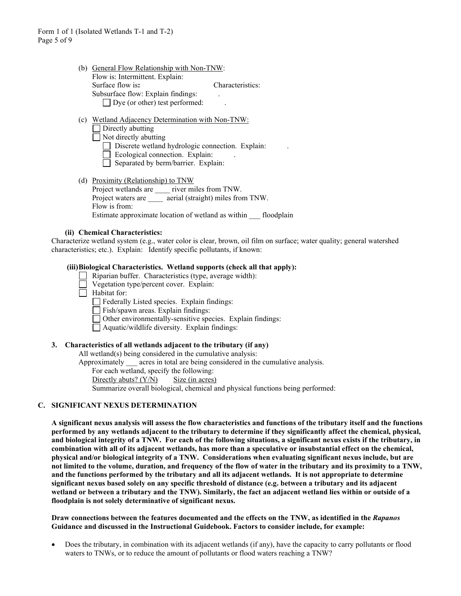- (b) General Flow Relationship with Non-TNW: Flow is: Intermittent. Explain: Surface flow is: Characteristics: Subsurface flow: Explain findings: .  $\Box$  Dye (or other) test performed:
- (c) Wetland Adjacency Determination with Non-TNW:  $\Box$  Directly abutting  $\Box$  Not directly abutting  $\Box$  Discrete wetland hydrologic connection. Explain:  $\Box$  Ecological connection. Explain:
	-
	- $\overline{\Box}$  Separated by berm/barrier. Explain:
- (d) Proximity (Relationship) to TNW Project wetlands are \_\_\_\_ river miles from TNW. Project waters are **a** aerial (straight) miles from TNW. Flow is from: Estimate approximate location of wetland as within floodplain

#### **(ii) Chemical Characteristics:**

Characterize wetland system (e.g., water color is clear, brown, oil film on surface; water quality; general watershed characteristics; etc.). Explain: Identify specific pollutants, if known:

#### **(iii)Biological Characteristics. Wetland supports (check all that apply):**

- Riparian buffer. Characteristics (type, average width):  $\Box$
- Vegetation type/percent cover. Explain:
- $\Box$  Habitat for:

Federally Listed species. Explain findings:

- Fish/spawn areas. Explain findings:
- Other environmentally-sensitive species. Explain findings:
- Aquatic/wildlife diversity. Explain findings:

#### **3. Characteristics of all wetlands adjacent to the tributary (if any)**

All wetland(s) being considered in the cumulative analysis:

Approximately \_\_\_ acres in total are being considered in the cumulative analysis.

For each wetland, specify the following:

Directly abuts?  $(Y/N)$  Size (in acres)

Summarize overall biological, chemical and physical functions being performed:

# **C. SIGNIFICANT NEXUS DETERMINATION**

**A significant nexus analysis will assess the flow characteristics and functions of the tributary itself and the functions performed by any wetlands adjacent to the tributary to determine if they significantly affect the chemical, physical, and biological integrity of a TNW. For each of the following situations, a significant nexus exists if the tributary, in combination with all of its adjacent wetlands, has more than a speculative or insubstantial effect on the chemical, physical and/or biological integrity of a TNW. Considerations when evaluating significant nexus include, but are not limited to the volume, duration, and frequency of the flow of water in the tributary and its proximity to a TNW, and the functions performed by the tributary and all its adjacent wetlands. It is not appropriate to determine significant nexus based solely on any specific threshold of distance (e.g. between a tributary and its adjacent wetland or between a tributary and the TNW). Similarly, the fact an adjacent wetland lies within or outside of a floodplain is not solely determinative of significant nexus.** 

**Draw connections between the features documented and the effects on the TNW, as identified in the** *Rapanos* **Guidance and discussed in the Instructional Guidebook. Factors to consider include, for example:**

• Does the tributary, in combination with its adjacent wetlands (if any), have the capacity to carry pollutants or flood waters to TNWs, or to reduce the amount of pollutants or flood waters reaching a TNW?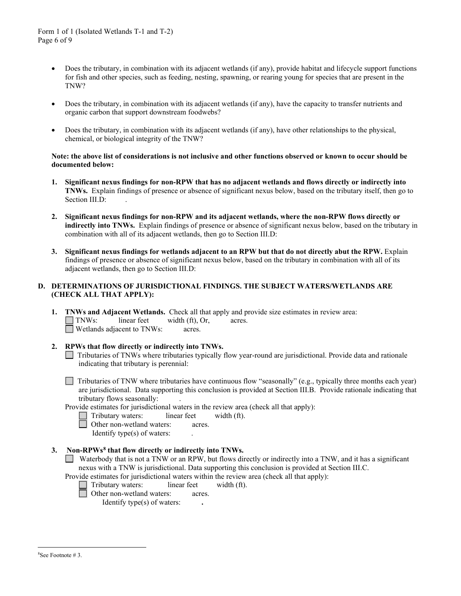- Does the tributary, in combination with its adjacent wetlands (if any), provide habitat and lifecycle support functions for fish and other species, such as feeding, nesting, spawning, or rearing young for species that are present in the TNW?
- Does the tributary, in combination with its adjacent wetlands (if any), have the capacity to transfer nutrients and organic carbon that support downstream foodwebs?
- Does the tributary, in combination with its adjacent wetlands (if any), have other relationships to the physical, chemical, or biological integrity of the TNW?

#### **Note: the above list of considerations is not inclusive and other functions observed or known to occur should be documented below:**

- **1. Significant nexus findings for non-RPW that has no adjacent wetlands and flows directly or indirectly into TNWs.** Explain findings of presence or absence of significant nexus below, based on the tributary itself, then go to Section III.D:
- **2. Significant nexus findings for non-RPW and its adjacent wetlands, where the non-RPW flows directly or indirectly into TNWs.** Explain findings of presence or absence of significant nexus below, based on the tributary in combination with all of its adjacent wetlands, then go to Section III.D:
- **3. Significant nexus findings for wetlands adjacent to an RPW but that do not directly abut the RPW.** Explain findings of presence or absence of significant nexus below, based on the tributary in combination with all of its adjacent wetlands, then go to Section III.D:

# **D. DETERMINATIONS OF JURISDICTIONAL FINDINGS. THE SUBJECT WATERS/WETLANDS ARE (CHECK ALL THAT APPLY):**

- **1. TNWs and Adjacent Wetlands.** Check all that apply and provide size estimates in review area:<br>
TNWs: linear feet width (ft) Or acres TNWs: linear feet width (ft), Or, acres. Wetlands adjacent to TNWs: acres.
- **2. RPWs that flow directly or indirectly into TNWs.** Tributaries of TNWs where tributaries typically flow year-round are jurisdictional. Provide data and rationale indicating that tributary is perennial:
	- Tributaries of TNW where tributaries have continuous flow "seasonally" (e.g., typically three months each year) are jurisdictional. Data supporting this conclusion is provided at Section III.B. Provide rationale indicating that tributary flows seasonally: .

Provide estimates for jurisdictional waters in the review area (check all that apply):

- Tributary waters: linear feet width (ft).
- □ Other non-wetland waters: acres.

Identify type(s) of waters: .

# **3. Non-RPWs[8](#page-5-0) that flow directly or indirectly into TNWs.**

Waterbody that is not a TNW or an RPW, but flows directly or indirectly into a TNW, and it has a significant nexus with a TNW is jurisdictional. Data supporting this conclusion is provided at Section III.C.

Provide estimates for jurisdictional waters within the review area (check all that apply):

- Tributary waters: linear feet width (ft).
- <span id="page-5-0"></span>**d** Other non-wetland waters: acres.

Identify type(s) of waters: **.**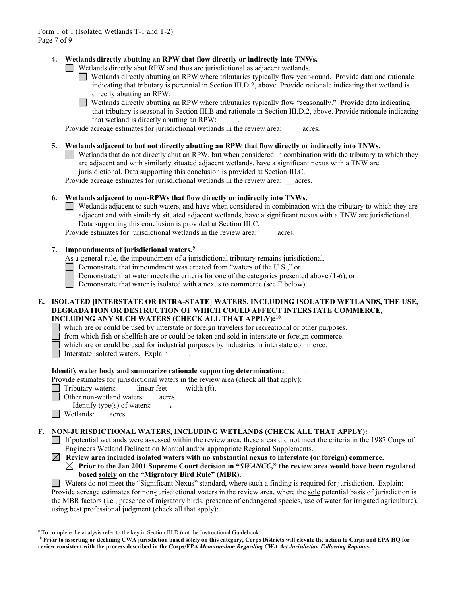# **4. Wetlands directly abutting an RPW that flow directly or indirectly into TNWs.**

- Wetlands directly abut RPW and thus are jurisdictional as adjacent wetlands.
	- Wetlands directly abutting an RPW where tributaries typically flow year-round. Provide data and rationale indicating that tributary is perennial in Section III.D.2, above. Provide rationale indicating that wetland is directly abutting an RPW:
	- П Wetlands directly abutting an RPW where tributaries typically flow "seasonally." Provide data indicating that tributary is seasonal in Section III.B and rationale in Section III.D.2, above. Provide rationale indicating that wetland is directly abutting an RPW: .

Provide acreage estimates for jurisdictional wetlands in the review area: acres.

### **5. Wetlands adjacent to but not directly abutting an RPW that flow directly or indirectly into TNWs.**

 $\Box$  Wetlands that do not directly abut an RPW, but when considered in combination with the tributary to which they are adjacent and with similarly situated adjacent wetlands, have a significant nexus with a TNW are jurisidictional. Data supporting this conclusion is provided at Section III.C.

Provide acreage estimates for jurisdictional wetlands in the review area: **\_\_** acres.

### **6. Wetlands adjacent to non-RPWs that flow directly or indirectly into TNWs.**

Wetlands adjacent to such waters, and have when considered in combination with the tributary to which they are adjacent and with similarly situated adjacent wetlands, have a significant nexus with a TNW are jurisdictional. Data supporting this conclusion is provided at Section III.C.

Provide estimates for jurisdictional wetlands in the review area: acres.

# **7. Impoundments of jurisdictional waters. [9](#page-6-0)**

As a general rule, the impoundment of a jurisdictional tributary remains jurisdictional.

- Demonstrate that impoundment was created from "waters of the U.S.," or
- Demonstrate that water meets the criteria for one of the categories presented above (1-6), or
- Demonstrate that water is isolated with a nexus to commerce (see E below).

### **E. ISOLATED [INTERSTATE OR INTRA-STATE] WATERS, INCLUDING ISOLATED WETLANDS, THE USE, DEGRADATION OR DESTRUCTION OF WHICH COULD AFFECT INTERSTATE COMMERCE, INCLUDING ANY SUCH WATERS (CHECK ALL THAT APPLY):[10](#page-6-1)**

which are or could be used by interstate or foreign travelers for recreational or other purposes.

from which fish or shellfish are or could be taken and sold in interstate or foreign commerce.

which are or could be used for industrial purposes by industries in interstate commerce.

Interstate isolated waters.Explain: .

# **Identify water body and summarize rationale supporting determination:** .

Provide estimates for jurisdictional waters in the review area (check all that apply):

Tributary waters: linear feet width (ft).

Other non-wetland waters: acres.

Identify type(s) of waters: **.**

**I** Wetlands: acres.

# **F. NON-JURISDICTIONAL WATERS, INCLUDING WETLANDS (CHECK ALL THAT APPLY):**

If potential wetlands were assessed within the review area, these areas did not meet the criteria in the 1987 Corps of Engineers Wetland Delineation Manual and/or appropriate Regional Supplements.

 **Review area included isolated waters with no substantial nexus to interstate (or foreign) commerce. Prior to the Jan 2001 Supreme Court decision in "***SWANCC***," the review area would have been regulated based solely on the "Migratory Bird Rule" (MBR).** 

Waters do not meet the "Significant Nexus" standard, where such a finding is required for jurisdiction. Explain: Provide acreage estimates for non-jurisdictional waters in the review area, where the sole potential basis of jurisdiction is the MBR factors (i.e., presence of migratory birds, presence of endangered species, use of water for irrigated agriculture), using best professional judgment (check all that apply):

<span id="page-6-0"></span><sup>&</sup>lt;sup>9</sup> To complete the analysis refer to the key in Section III.D.6 of the Instructional Guidebook.

<span id="page-6-1"></span>**<sup>10</sup> Prior to asserting or declining CWA jurisdiction based solely on this category, Corps Districts will elevate the action to Corps and EPA HQ for review consistent with the process described in the Corps/EPA** *Memorandum Regarding CWA Act Jurisdiction Following Rapanos.*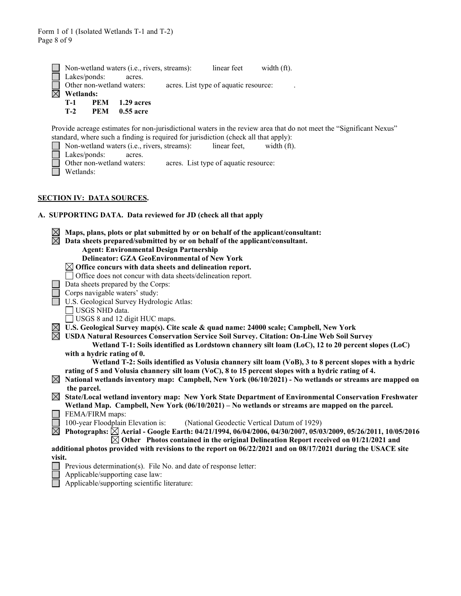|             |              | $\Box$ Non-wetland waters (i.e., rivers, streams): | linear feet width (ft).               |  |
|-------------|--------------|----------------------------------------------------|---------------------------------------|--|
|             | Lakes/ponds: | acres.                                             |                                       |  |
|             |              | $\Box$ Other non-wetland waters:                   | acres. List type of aquatic resource: |  |
| $\boxtimes$ | Wetlands:    |                                                    |                                       |  |
|             |              | <b>T-1 PEM</b> 1.29 acres                          |                                       |  |
|             | $T-2$        | PEM 0.55 acre                                      |                                       |  |

Provide acreage estimates for non-jurisdictional waters in the review area that do not meet the "Significant Nexus" standard, where such a finding is required for jurisdiction (check all that apply):<br>
Non-wetland waters (i.e., rivers, streams): linear feet, width (ft)

Non-wetland waters (i.e., rivers, streams): linear feet, width (ft).  $\Box$ Lakes/ponds: acres.<br>Other non-wetland waters: acres. List type of aquatic resource: **Wetlands:** 

#### **SECTION IV: DATA SOURCES.**

# **A. SUPPORTING DATA. Data reviewed for JD (check all that apply**

|             | Maps, plans, plots or plat submitted by or on behalf of the applicant/consultant:                             |  |  |
|-------------|---------------------------------------------------------------------------------------------------------------|--|--|
|             | Data sheets prepared/submitted by or on behalf of the applicant/consultant.                                   |  |  |
|             |                                                                                                               |  |  |
|             | <b>Agent: Environmental Design Partnership</b><br><b>Delineator: GZA GeoEnvironmental of New York</b>         |  |  |
|             |                                                                                                               |  |  |
|             | $\boxtimes$ Office concurs with data sheets and delineation report.                                           |  |  |
|             | Office does not concur with data sheets/delineation report.                                                   |  |  |
|             | Data sheets prepared by the Corps:                                                                            |  |  |
|             | Corps navigable waters' study:                                                                                |  |  |
|             | U.S. Geological Survey Hydrologic Atlas:                                                                      |  |  |
|             | USGS NHD data.                                                                                                |  |  |
|             | USGS 8 and 12 digit HUC maps.                                                                                 |  |  |
| $\boxtimes$ | U.S. Geological Survey map(s). Cite scale & quad name: 24000 scale; Campbell, New York                        |  |  |
|             | USDA Natural Resources Conservation Service Soil Survey. Citation: On-Line Web Soil Survey                    |  |  |
|             | Wetland T-1: Soils identified as Lordstown channery silt loam (LoC), 12 to 20 percent slopes (LoC)            |  |  |
|             | with a hydric rating of 0.                                                                                    |  |  |
|             | Wetland T-2: Soils identified as Volusia channery silt loam (VoB), 3 to 8 percent slopes with a hydric        |  |  |
|             | rating of 5 and Volusia channery silt loam (VoC), 8 to 15 percent slopes with a hydric rating of 4.           |  |  |
| $\boxtimes$ | National wetlands inventory map: Campbell, New York (06/10/2021) - No wetlands or streams are mapped on       |  |  |
|             | the parcel.                                                                                                   |  |  |
| $\boxtimes$ | State/Local wetland inventory map: New York State Department of Environmental Conservation Freshwater         |  |  |
|             | Wetland Map. Campbell, New York (06/10/2021) – No wetlands or streams are mapped on the parcel.               |  |  |
|             | FEMA/FIRM maps:                                                                                               |  |  |
|             | 100-year Floodplain Elevation is:<br>(National Geodectic Vertical Datum of 1929)                              |  |  |
| $\boxtimes$ | Photographs: ⊠ Aerial - Google Earth: 04/21/1994, 06/04/2006, 04/30/2007, 05/03/2009, 05/26/2011, 10/05/2016  |  |  |
|             | $\boxtimes$ Other Photos contained in the original Delineation Report received on 01/21/2021 and              |  |  |
|             | additional photos provided with revisions to the report on 06/22/2021 and on 08/17/2021 during the USACE site |  |  |
| visit.      |                                                                                                               |  |  |
|             |                                                                                                               |  |  |

- Previous determination(s). File No. and date of response letter:
	- Applicable/supporting case law:
- Applicable/supporting scientific literature: